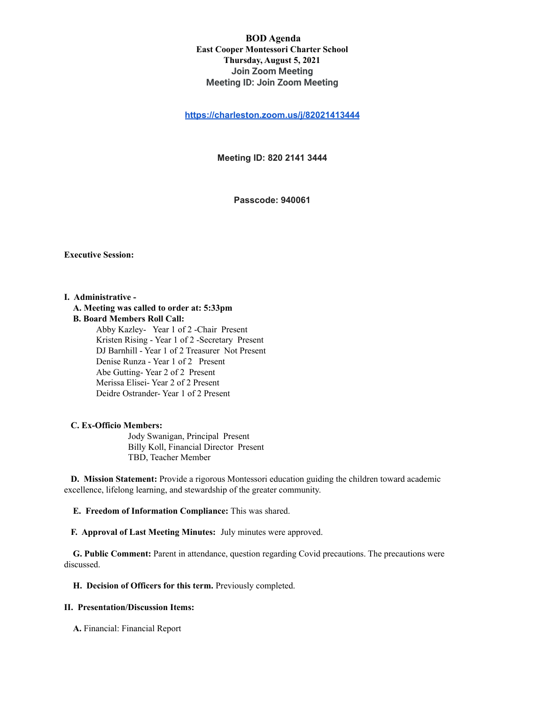## **BOD Agenda East Cooper Montessori Charter School Thursday, August 5, 2021 Join Zoom Meeting Meeting ID: Join Zoom Meeting**

**[https://charleston.zoom.us/j/82021413444](https://urldefense.com/v3/__https:/www.google.com/url?q=https*3A*2F*2Fcharleston.zoom.us*2Fj*2F82021413444&sa=D&source=calendar&usd=2&usg=AOvVaw0FXBeYj_NeLYaMK4EB7AIa__;JSUlJSU!!Ab1_Rw!TKoJBCKKVOuu8WIPN7uFFGCvnriYYnWP7uReqcxOC4zQlWoo2hRf-NQgCGozrDkD$)**

**Meeting ID: 820 2141 3444**

**Passcode: 940061**

#### **Executive Session:**

#### **I. Administrative -**

#### **A. Meeting was called to order at: 5:33pm**

**B. Board Members Roll Call:**

Abby Kazley- Year 1 of 2 -Chair Present Kristen Rising - Year 1 of 2 -Secretary Present DJ Barnhill - Year 1 of 2 Treasurer Not Present Denise Runza - Year 1 of 2 Present Abe Gutting- Year 2 of 2 Present Merissa Elisei- Year 2 of 2 Present Deidre Ostrander- Year 1 of 2 Present

#### **C. Ex-Officio Members:**

Jody Swanigan, Principal Present Billy Koll, Financial Director Present TBD, Teacher Member

**D. Mission Statement:** Provide a rigorous Montessori education guiding the children toward academic excellence, lifelong learning, and stewardship of the greater community.

**E. Freedom of Information Compliance:** This was shared.

**F. Approval of Last Meeting Minutes:** July minutes were approved.

**G. Public Comment:** Parent in attendance, question regarding Covid precautions. The precautions were discussed.

**H. Decision of Officers for this term.** Previously completed.

# **II. Presentation/Discussion Items:**

**A.** Financial: Financial Report